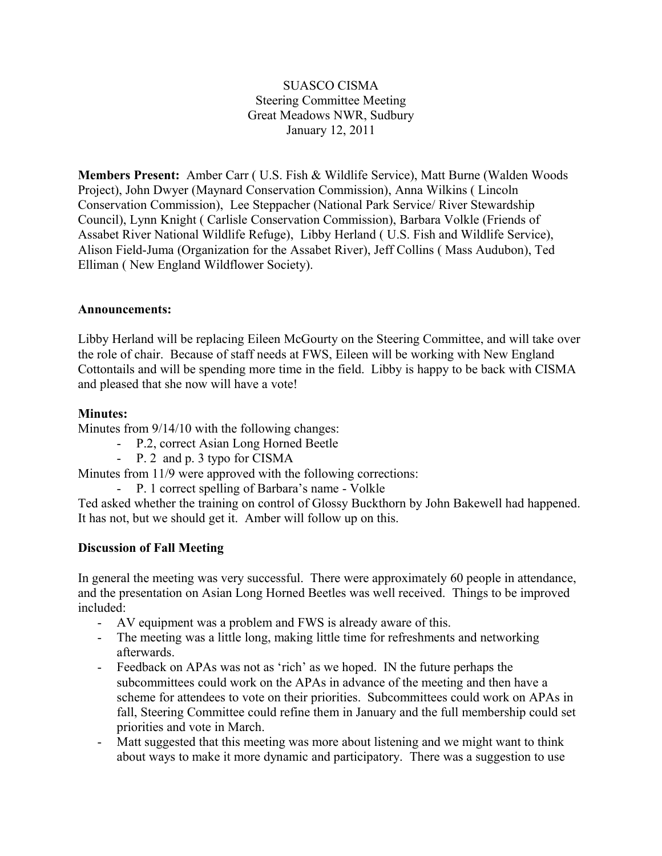## SUASCO CISMA Steering Committee Meeting Great Meadows NWR, Sudbury January 12, 2011

**Members Present:** Amber Carr ( U.S. Fish & Wildlife Service), Matt Burne (Walden Woods Project), John Dwyer (Maynard Conservation Commission), Anna Wilkins ( Lincoln Conservation Commission), Lee Steppacher (National Park Service/ River Stewardship Council), Lynn Knight ( Carlisle Conservation Commission), Barbara Volkle (Friends of Assabet River National Wildlife Refuge), Libby Herland ( U.S. Fish and Wildlife Service), Alison Field-Juma (Organization for the Assabet River), Jeff Collins ( Mass Audubon), Ted Elliman ( New England Wildflower Society).

#### **Announcements:**

Libby Herland will be replacing Eileen McGourty on the Steering Committee, and will take over the role of chair. Because of staff needs at FWS, Eileen will be working with New England Cottontails and will be spending more time in the field. Libby is happy to be back with CISMA and pleased that she now will have a vote!

#### **Minutes:**

Minutes from 9/14/10 with the following changes:

- P.2, correct Asian Long Horned Beetle
- P. 2 and p. 3 typo for CISMA

Minutes from 11/9 were approved with the following corrections:

- P. 1 correct spelling of Barbara's name - Volkle

Ted asked whether the training on control of Glossy Buckthorn by John Bakewell had happened. It has not, but we should get it. Amber will follow up on this.

# **Discussion of Fall Meeting**

In general the meeting was very successful. There were approximately 60 people in attendance, and the presentation on Asian Long Horned Beetles was well received. Things to be improved included:

- AV equipment was a problem and FWS is already aware of this.
- The meeting was a little long, making little time for refreshments and networking afterwards.
- Feedback on APAs was not as 'rich' as we hoped. IN the future perhaps the subcommittees could work on the APAs in advance of the meeting and then have a scheme for attendees to vote on their priorities. Subcommittees could work on APAs in fall, Steering Committee could refine them in January and the full membership could set priorities and vote in March.
- Matt suggested that this meeting was more about listening and we might want to think about ways to make it more dynamic and participatory. There was a suggestion to use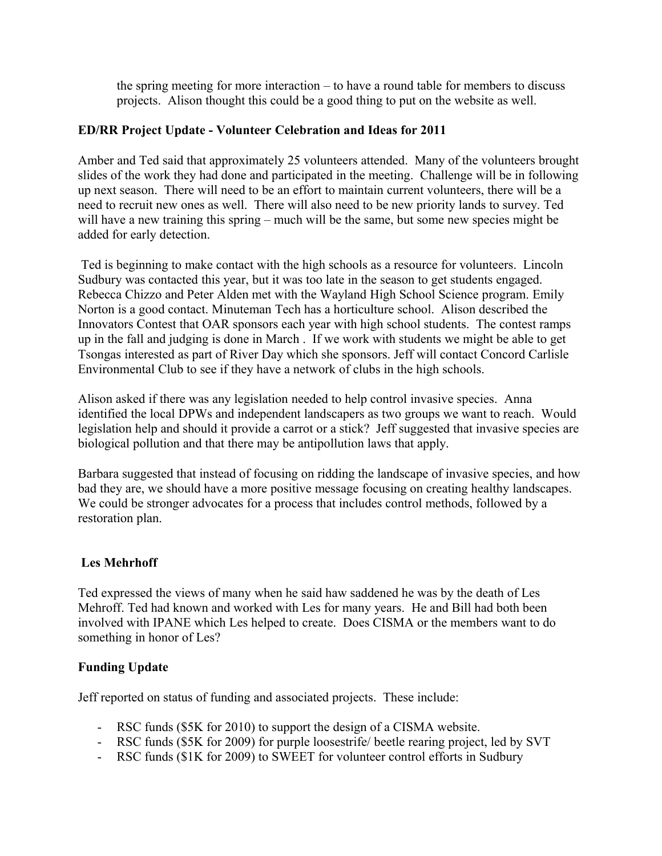the spring meeting for more interaction – to have a round table for members to discuss projects. Alison thought this could be a good thing to put on the website as well.

### **ED/RR Project Update - Volunteer Celebration and Ideas for 2011**

Amber and Ted said that approximately 25 volunteers attended. Many of the volunteers brought slides of the work they had done and participated in the meeting. Challenge will be in following up next season. There will need to be an effort to maintain current volunteers, there will be a need to recruit new ones as well. There will also need to be new priority lands to survey. Ted will have a new training this spring – much will be the same, but some new species might be added for early detection.

 Ted is beginning to make contact with the high schools as a resource for volunteers. Lincoln Sudbury was contacted this year, but it was too late in the season to get students engaged. Rebecca Chizzo and Peter Alden met with the Wayland High School Science program. Emily Norton is a good contact. Minuteman Tech has a horticulture school. Alison described the Innovators Contest that OAR sponsors each year with high school students. The contest ramps up in the fall and judging is done in March . If we work with students we might be able to get Tsongas interested as part of River Day which she sponsors. Jeff will contact Concord Carlisle Environmental Club to see if they have a network of clubs in the high schools.

Alison asked if there was any legislation needed to help control invasive species. Anna identified the local DPWs and independent landscapers as two groups we want to reach. Would legislation help and should it provide a carrot or a stick? Jeff suggested that invasive species are biological pollution and that there may be antipollution laws that apply.

Barbara suggested that instead of focusing on ridding the landscape of invasive species, and how bad they are, we should have a more positive message focusing on creating healthy landscapes. We could be stronger advocates for a process that includes control methods, followed by a restoration plan.

# **Les Mehrhoff**

Ted expressed the views of many when he said haw saddened he was by the death of Les Mehroff. Ted had known and worked with Les for many years. He and Bill had both been involved with IPANE which Les helped to create. Does CISMA or the members want to do something in honor of Les?

#### **Funding Update**

Jeff reported on status of funding and associated projects. These include:

- RSC funds (\$5K for 2010) to support the design of a CISMA website.
- RSC funds (\$5K for 2009) for purple loosestrife/ beetle rearing project, led by SVT
- RSC funds (\$1K for 2009) to SWEET for volunteer control efforts in Sudbury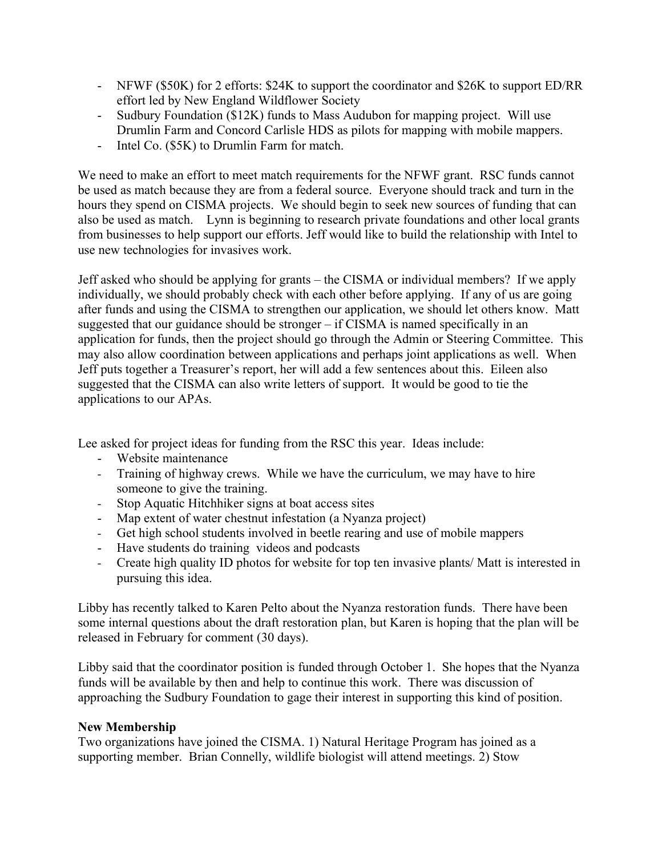- NFWF (\$50K) for 2 efforts: \$24K to support the coordinator and \$26K to support ED/RR effort led by New England Wildflower Society
- Sudbury Foundation (\$12K) funds to Mass Audubon for mapping project. Will use Drumlin Farm and Concord Carlisle HDS as pilots for mapping with mobile mappers.
- Intel Co. (\$5K) to Drumlin Farm for match.

We need to make an effort to meet match requirements for the NFWF grant. RSC funds cannot be used as match because they are from a federal source. Everyone should track and turn in the hours they spend on CISMA projects. We should begin to seek new sources of funding that can also be used as match. Lynn is beginning to research private foundations and other local grants from businesses to help support our efforts. Jeff would like to build the relationship with Intel to use new technologies for invasives work.

Jeff asked who should be applying for grants – the CISMA or individual members? If we apply individually, we should probably check with each other before applying. If any of us are going after funds and using the CISMA to strengthen our application, we should let others know. Matt suggested that our guidance should be stronger – if CISMA is named specifically in an application for funds, then the project should go through the Admin or Steering Committee. This may also allow coordination between applications and perhaps joint applications as well. When Jeff puts together a Treasurer's report, her will add a few sentences about this. Eileen also suggested that the CISMA can also write letters of support. It would be good to tie the applications to our APAs.

Lee asked for project ideas for funding from the RSC this year. Ideas include:

- Website maintenance
- Training of highway crews. While we have the curriculum, we may have to hire someone to give the training.
- Stop Aquatic Hitchhiker signs at boat access sites
- Map extent of water chestnut infestation (a Nyanza project)
- Get high school students involved in beetle rearing and use of mobile mappers
- Have students do training videos and podcasts
- Create high quality ID photos for website for top ten invasive plants/ Matt is interested in pursuing this idea.

Libby has recently talked to Karen Pelto about the Nyanza restoration funds. There have been some internal questions about the draft restoration plan, but Karen is hoping that the plan will be released in February for comment (30 days).

Libby said that the coordinator position is funded through October 1. She hopes that the Nyanza funds will be available by then and help to continue this work. There was discussion of approaching the Sudbury Foundation to gage their interest in supporting this kind of position.

#### **New Membership**

Two organizations have joined the CISMA. 1) Natural Heritage Program has joined as a supporting member. Brian Connelly, wildlife biologist will attend meetings. 2) Stow